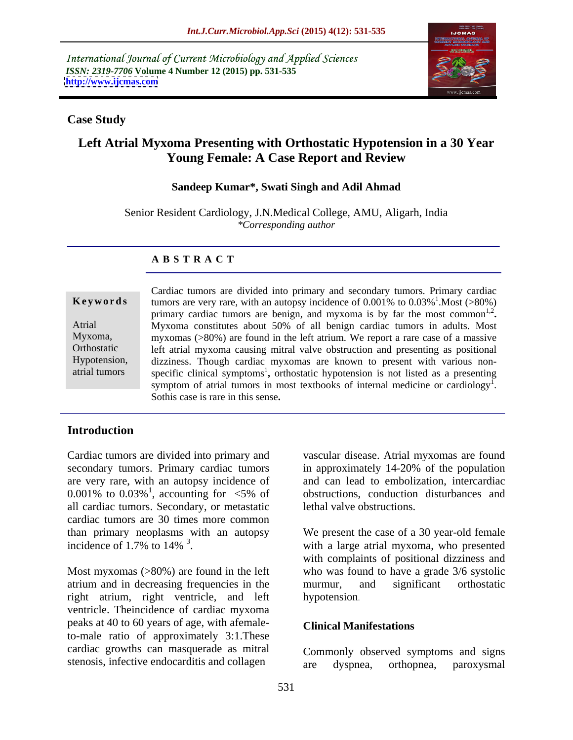International Journal of Current Microbiology and Applied Sciences *ISSN: 2319-7706* **Volume 4 Number 12 (2015) pp. 531-535 <http://www.ijcmas.com>**



## **Case Study**

# **Left Atrial Myxoma Presenting with Orthostatic Hypotension in a 30 Year Young Female: A Case Report and Review**

## **Sandeep Kumar\*, Swati Singh and Adil Ahmad**

Senior Resident Cardiology, J.N.Medical College, AMU, Aligarh, India *\*Corresponding author*

### **A B S T R A C T**

atrial tumors

Cardiac tumors are divided into primary and secondary tumors. Primary cardiac tumors are very rare, with an autopsy incidence of  $0.001\%$  to  $0.03\%$ <sup>1</sup>. Most (>80%)  $\frac{1}{1}$  Most  $(0.000)$ .Most (>80%) primary cardiac tumors are benign, and myxoma is by far the most common<sup>1,2</sup>. 1,2 **.** Myxoma constitutes about 50% of all benign cardiac tumors in adults. Most Atrial myxomas (>80%) are found in the left atrium. We report a rare case of a massive Myxoma, left atrial myxoma causing mitral valve obstruction and presenting as positional Orthostatic Hypotension, dizziness. Though cardiac myxomas are known to present with various nonspecific clinical symptoms<sup>1</sup>, orthostatic hypotension is not listed as a presenting symptom of atrial tumors in most textbooks of internal medicine or cardiology<sup>1</sup>.  $1$  and  $1$  and  $1$  and  $1$ **Keywords**<br>
tumors are very rare, with an autopsy incidence of 0.001% to 0.03%<sup>1</sup>. Most (>80%)<br>
primary cardiac tumors are benign, and myxoma is by far the most common<sup>1,2</sup>.<br>
Atrial Myxoma constitutes about 50% of all beni

## **Introduction**

Cardiac tumors are divided into primary and secondary tumors. Primary cardiac tumors in approximately 14-20% of the population are very rare, with an autopsy incidence of 0.001% to  $0.03\%$ <sup>1</sup>, accounting for <5% of all cardiac tumors. Secondary, or metastatic cardiac tumors are 30 times more common than primary neoplasms with an autopsy

Most myxomas (>80%) are found in the left who was found to have a grade 3/6 systolic atrium and in decreasing frequencies in the murmur, and significant orthostatic right atrium, right ventricle, and left hypotension. ventricle. Theincidence of cardiac myxoma peaks at 40 to 60 years of age, with afemaleto-male ratio of approximately 3:1.These cardiac growths can masquerade as mitral

<sup>1</sup>, accounting for <5% of obstructions, conduction disturbances and vascular disease. Atrial myxomas are found in approximately 14-20% of the population and can lead to embolization, intercardiac lethal valve obstructions.

incidence of 1.7% to 14%<sup>3</sup>. with a large atrial myxoma, who presented We present the case of a 30 year-old female with complaints of positional dizziness and murmur, and significant orthostatic hypotension.

### **Clinical Manifestations**

stenosis, infective endocarditis and collagen are dyspnea, orthopnea, paroxysmal Commonly observed symptoms and signs are dyspnea, orthopnea, paroxysmal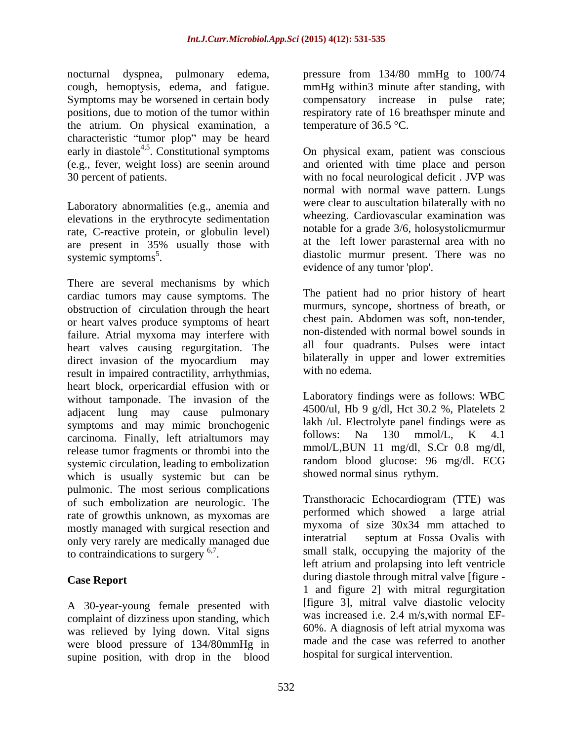nocturnal dyspnea, pulmonary edema, the atrium. On physical examination, a characteristic "tumor plop" may be heard early in diastole<sup>4,5</sup>. Constitutional symptoms (e.g., fever, weight loss) are seenin around

Laboratory abnormalities (e.g., anemia and elevations in the erythrocyte sedimentation rate, C-reactive protein, or globulin level) are present in 35% usually those with at the left lower parasternal area with no

There are several mechanisms by which cardiac tumors may cause symptoms. The obstruction of circulation through the heart or heart valves produce symptoms of heart failure. Atrial myxoma may interfere with heart valves causing regurgitation. The direct invasion of the myocardium may bilaterally in u result in impaired contractility, arrhythmias, heart block, orpericardial effusion with or without tamponade. The invasion of the adjacent lung may cause pulmonary symptoms and may mimic bronchogenic lakh /ul. Electrolyte panel findings were as<br>carcinoma. Finally, left attialtymore may follows: Na 130 mmol/L, K 4.1 carcinoma. Finally, left atrialtumors may release tumor fragments or thrombi into the systemic circulation, leading to embolization which is usually systemic but can be pulmonic. The most serious complications of such embolization are neurologic. The rate of growthis unknown, as myxomas are mostly managed with surgical resection and<br>only very rarely are medically managed due<br>interatrial septum at Fossa Ovalis with only very rarely are medically managed due to contraindications to surgery  $6,7$ .

A 30-year-young female presented with complaint of dizziness upon standing, which was relieved by lying down. Vital signs were blood pressure of 134/80mmHg in supine position, with drop in the blood

cough, hemoptysis, edema, and fatigue. mmHg within3 minute after standing, with Symptoms may be worsened in certain body compensatory increase in pulse rate; positions, due to motion of the tumor within respiratory rate of 16 breathsper minute and pressure from 134/80 mmHg to 100/74 temperature of  $36.5$  °C.

. Constitutional symptoms On physical exam, patient was conscious 30 percent of patients. with no focal neurological deficit . JVP was systemic symptoms<sup>5</sup>. diastolic murmur present. There was no and oriented with time place and person normal with normal wave pattern. Lungs were clear to auscultation bilaterally with no wheezing. Cardiovascular examination was notable for a grade 3/6, holosystolicmurmur at the left lower parasternal area with no evidence of any tumor 'plop'.

> The patient had no prior history of heart murmurs, syncope, shortness of breath, or chest pain. Abdomen was soft, non-tender, non-distended with normal bowel sounds in all four quadrants. Pulses were intact bilaterally in upper and lower extremities with no edema.

Laboratory findings were as follows: WBC 4500/ul, Hb 9 g/dl, Hct 30.2 %, Platelets 2 lakh /ul. Electrolyte panel findings were as follows: Na 130 mmol/L, K 4.1 mmol/L,BUN 11 mg/dl, S.Cr 0.8 mg/dl, random blood glucose: 96 mg/dl. ECG showed normal sinus rythym.

. Small stalk, occupying the majority of the **Case Report** during diastole through mitral valve [figure -Transthoracic Echocardiogram (TTE) was performed which showed a large atrial myxoma of size 30x34 mm attached to interatrial septum at Fossa Ovalis with left atrium and prolapsing into left ventricle 1 and figure 2] with mitral regurgitation [figure 3], mitral valve diastolic velocity was increased i.e. 2.4 m/s,with normal EF- 60%. A diagnosis of left atrial myxoma was made and the case was referred to another hospital for surgical intervention.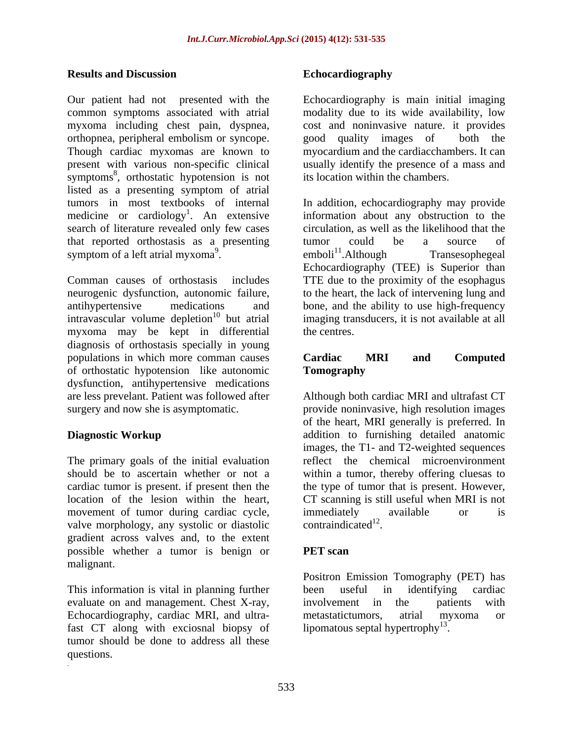### **Results and Discussion**

Our patient had not presented with the Echocardiography is main initial imaging common symptoms associated with atrial modality due to its wide availability, low myxoma including chest pain, dyspnea, cost and noninvasive nature. it provides orthopnea, peripheral embolism or syncope. Though cardiac myxomas are known to myocardium and the cardiacchambers. It can present with various non-specific clinical usually identify the presence of a mass and symptoms<sup>8</sup>, orthostatic hypotension is not its location within the chambers. listed as a presenting symptom of atrial tumors in most textbooks of internal In addition, echocardiography may provide medicine or cardiology<sup>1</sup>. An extensive information about any obstruction to the search of literature revealed only few cases that reported orthostasis as a presenting symptom of a left atrial myxoma<sup>9</sup>.  $emboli<sup>11</sup>$ . Although Transesophegeal **Results and Discussion**<br> **Echocardiography**<br>
Cover alisies has the generated with the Echocardiography is main initial imaging<br>
Our quies more apply the discussion of the economic symptoms of production<br>
continue absentio

Comman causes of orthostasis includes TTE due to the proximity of the esophagus neurogenic dysfunction, autonomic failure, to the heart, the lack of intervening lung and antihypertensive medications and bone, and the ability to use high-frequency intravascular volume depletion <sup>10</sup> but atrial imaging transducers, it is not available at all myxoma may be kept in differential diagnosis of orthostasis specially in young populations in which more comman causes **Cardiac MRI** and **Computed** of orthostatic hypotension like autonomic dysfunction, antihypertensive medications are less prevelant. Patient was followed after

The primary goals of the initial evaluation movement of tumor during cardiac cycle, immediately available or is valve morphology, any systolic or diastolic contraindicated<sup>12</sup>. valve morphology, any systolic or diastolic gradient across valves and, to the extent possible whether a tumor is benign or malignant.

This information is vital in planning further been useful in identifying cardiac evaluate on and management. Chest X-ray, involvement in the patients with Echocardiography, cardiac MRI, and ultra-<br>metastatictumors, atrial myxoma or fast CT along with exciosnal biopsy of tumor should be done to address all these questions.

good quality images of its location within the chambers.

 $emboli<sup>11</sup>. Although$ circulation, as well as the likelihood that the tumor could be a source of emboli<sup>11</sup>.Although Transesophegeal Echocardiography (TEE) is Superior than the centres.

## **Cardiac MRI and Computed Tomography**

surgery and now she is asymptomatic. provide noninvasive, high resolution images **Diagnostic Workup Example 20** addition to furnishing detailed anatomic should be to ascertain whether or not a within a tumor, thereby offering cluesas to cardiac tumor is present. if present then the type of tumor that is present. However, location of the lesion within the heart, CT scanning is still useful when MRI is not Although both cardiac MRI and ultrafast CT of the heart, MRI generally is preferred. In images, the T1- and T2-weighted sequences reflect the chemical microenvironment immediately available or is contraindicated<sup>12</sup>. . The contract of the contract of the contract of the contract of the contract of the contract of the contract<br>The contract of the contract of the contract of the contract of the contract of the contract of the contract o

## **PET scan**

Positron Emission Tomography (PET) has been useful in identifying cardiac involvement in the patients with metastatictumors, atrial myxoma or lipomatous septal hypertrophy<sup>13</sup>.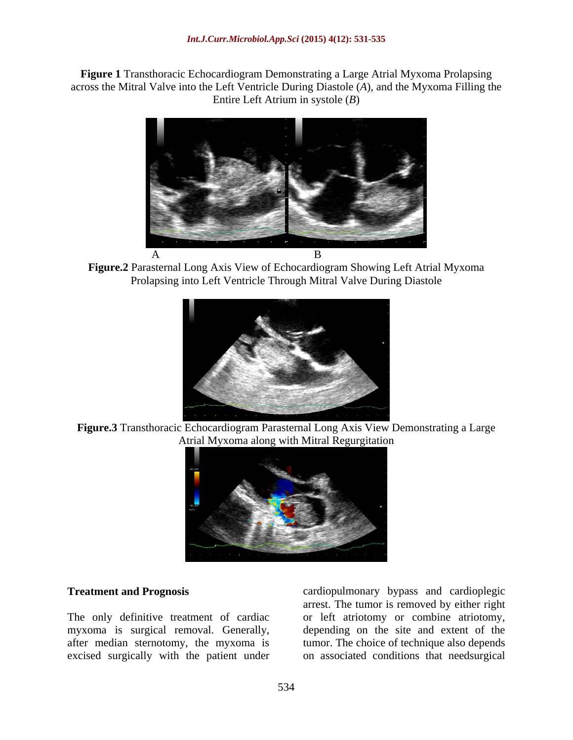**Figure 1** Transthoracic Echocardiogram Demonstrating a Large Atrial Myxoma Prolapsing across the Mitral Valve into the Left Ventricle During Diastole (*A*), and the Myxoma Filling the Entire Left Atrium in systole (*B*)



**Figure.2** Parasternal Long Axis View of Echocardiogram Showing Left Atrial Myxoma Prolapsing into Left Ventricle Through Mitral Valve During Diastole



**Figure.3** Transthoracic Echocardiogram Parasternal Long Axis View Demonstrating a Large Atrial Myxoma along with Mitral Regurgitation



excised surgically with the patient under on associated conditions that needsurgical

**Treatment and Prognosis** cardiopulmonary bypass and cardioplegic The only definitive treatment of cardiac or left atriotomy or combine atriotomy, myxoma is surgical removal. Generally, depending on the site and extent of the after median sternotomy, the myxoma is tumor. The choice of technique also depends arrest. The tumor is removed by either right